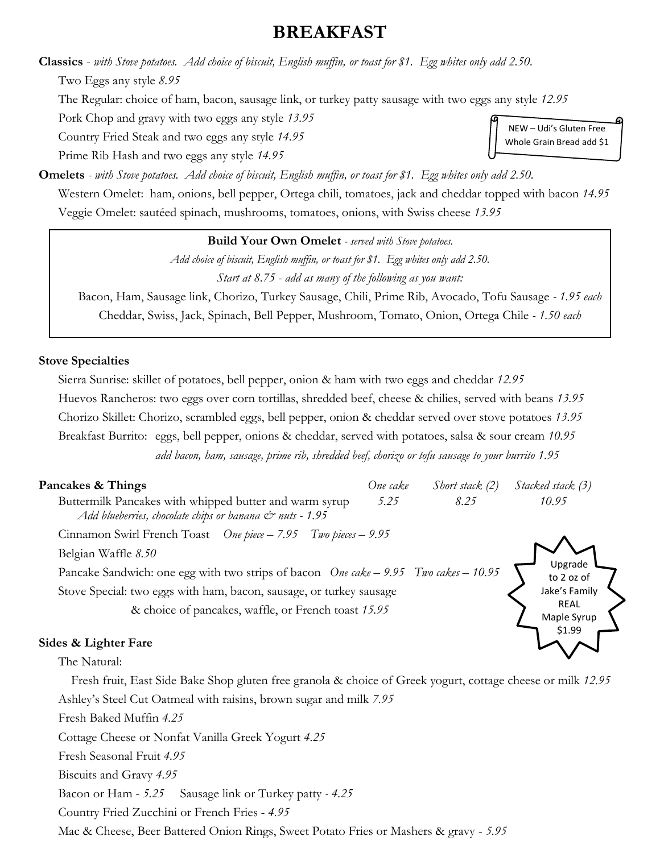## **BREAKFAST**

**Classics** - *with Stove potatoes. Add choice of biscuit, English muffin, or toast for \$1. Egg whites only add 2.50.* Two Eggs any style *8.95*

The Regular: choice of ham, bacon, sausage link, or turkey patty sausage with two eggs any style *12.95*

Pork Chop and gravy with two eggs any style *13.95*

Country Fried Steak and two eggs any style *14.95*

Prime Rib Hash and two eggs any style *14.95*

**Omelets** *- with Stove potatoes. Add choice of biscuit, English muffin, or toast for \$1. Egg whites only add 2.50.*

Western Omelet: ham, onions, bell pepper, Ortega chili, tomatoes, jack and cheddar topped with bacon *14.95* Veggie Omelet: sautéed spinach, mushrooms, tomatoes, onions, with Swiss cheese *13.95*

#### **Build Your Own Omelet** *- served with Stove potatoes.*

*Add choice of biscuit, English muffin, or toast for \$1. Egg whites only add 2.50. Start at 8.75 - add as many of the following as you want:*

Bacon, Ham, Sausage link, Chorizo, Turkey Sausage, Chili, Prime Rib, Avocado, Tofu Sausage *- 1.95 each* Cheddar, Swiss, Jack, Spinach, Bell Pepper, Mushroom, Tomato, Onion, Ortega Chile *- 1.50 each*

#### **Stove Specialties**

Sierra Sunrise: skillet of potatoes, bell pepper, onion & ham with two eggs and cheddar *12.95* Huevos Rancheros: two eggs over corn tortillas, shredded beef, cheese & chilies, served with beans *13.95* Chorizo Skillet: Chorizo, scrambled eggs, bell pepper, onion & cheddar served over stove potatoes *13.95* Breakfast Burrito: eggs, bell pepper, onions & cheddar, served with potatoes, salsa & sour cream *10.95 add bacon, ham, sausage, prime rib, shredded beef, chorizo or tofu sausage to your burrito 1.95*

| Pancakes & Things                                                                                                              | One cake | Short stack (2)       | Stacked stack (3)          |
|--------------------------------------------------------------------------------------------------------------------------------|----------|-----------------------|----------------------------|
| Buttermilk Pancakes with whipped butter and warm syrup<br>Add blueberries, chocolate chips or banana $\mathcal{Q}$ nuts - 1.95 | 5.25     | 8.25                  | 10.95                      |
| Cinnamon Swirl French Toast One piece - 7.95 Two pieces - 9.95                                                                 |          |                       |                            |
| Belgian Waffle 8.50                                                                                                            |          |                       |                            |
| Pancake Sandwich: one egg with two strips of bacon One cake - 9.95 Two cakes - 10.95                                           |          | Upgrade<br>to 2 oz of |                            |
| Stove Special: two eggs with ham, bacon, sausage, or turkey sausage                                                            |          | Jake's Family         |                            |
| & choice of pancakes, waffle, or French toast 15.95                                                                            |          |                       | <b>REAL</b><br>Maple Syrup |

#### **Sides & Lighter Fare**

The Natural:

Fresh fruit, East Side Bake Shop gluten free granola & choice of Greek yogurt, cottage cheese or milk *12.95*

Ashley's Steel Cut Oatmeal with raisins, brown sugar and milk *7.95*

Fresh Baked Muffin *4.25*

Cottage Cheese or Nonfat Vanilla Greek Yogurt *4.25*

Fresh Seasonal Fruit *4.95*

Biscuits and Gravy *4.95*

Bacon or Ham - *5.25* Sausage link or Turkey patty *- 4.25*

Country Fried Zucchini or French Fries - *4.95*

Mac & Cheese, Beer Battered Onion Rings, Sweet Potato Fries or Mashers & gravy - *5.95*

NEW – Udi's Gluten Free Whole Grain Bread add \$1

\$1.99